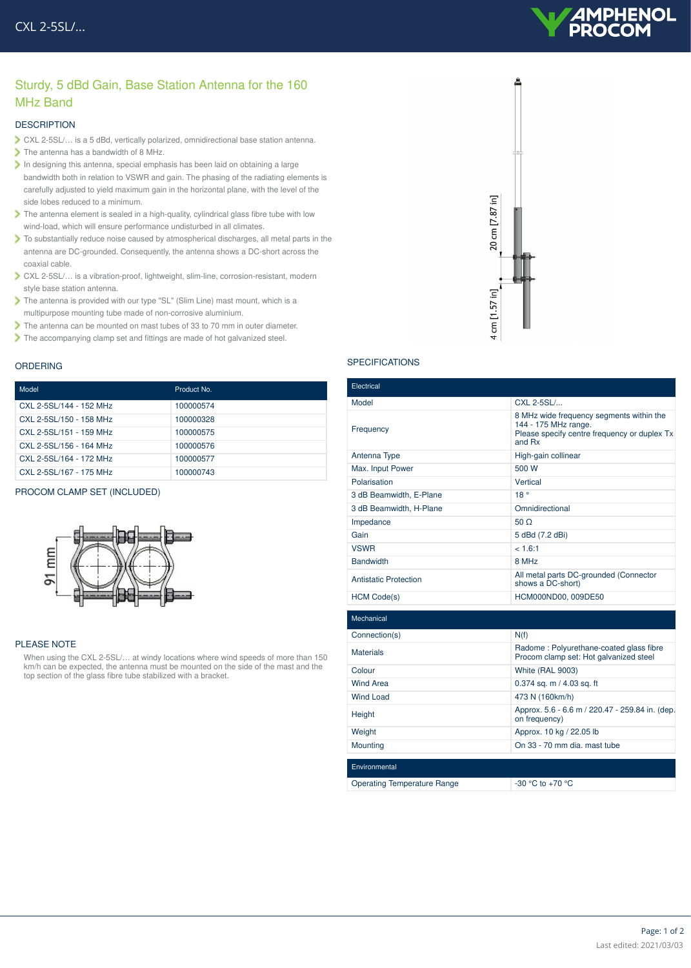# MPHENOL

## Sturdy, 5 dBd Gain, Base Station Antenna for the 160 MHz Band

#### **DESCRIPTION**

- CXL 2-5SL/… is a 5 dBd, vertically polarized, omnidirectional base station antenna.
- $\triangleright$  The antenna has a bandwidth of 8 MHz.
- In designing this antenna, special emphasis has been laid on obtaining a large bandwidth both in relation to VSWR and gain. The phasing of the radiating elements is carefully adjusted to yield maximum gain in the horizontal plane, with the level of the side lobes reduced to a minimum.
- The antenna element is sealed in a high-quality, cylindrical glass fibre tube with low wind-load, which will ensure performance undisturbed in all climates.
- To substantially reduce noise caused by atmospherical discharges, all metal parts in the antenna are DC-grounded. Consequently, the antenna shows a DC-short across the coaxial cable.
- CXL 2-5SL/… is a vibration-proof, lightweight, slim-line, corrosion-resistant, modern style base station antenna.
- The antenna is provided with our type "SL" (Slim Line) mast mount, which is a multipurpose mounting tube made of non-corrosive aluminium.
- The antenna can be mounted on mast tubes of 33 to 70 mm in outer diameter.
- The accompanying clamp set and fittings are made of hot galvanized steel.

#### ORDERING

| Model                   | Product No. |
|-------------------------|-------------|
| CXL 2-5SL/144 - 152 MHz | 100000574   |
| CXL 2-5SL/150 - 158 MHz | 100000328   |
| CXL 2-5SL/151 - 159 MHz | 100000575   |
| CXL 2-5SL/156 - 164 MHz | 100000576   |
| CXL 2-5SL/164 - 172 MHz | 100000577   |
| CXL 2-5SL/167 - 175 MHz | 100000743   |

#### PROCOM CLAMP SET (INCLUDED)



#### PLEASE NOTE

When using the CXL 2-5SL/… at windy locations where wind speeds of more than 150 km/h can be expected, the antenna must be mounted on the side of the mast and the top section of the glass fibre tube stabilized with a bracket.



### **SPECIFICATIONS**

| Electrical                         |                                                                                                                            |
|------------------------------------|----------------------------------------------------------------------------------------------------------------------------|
| Model                              | CXL 2-5SL/                                                                                                                 |
| Frequency                          | 8 MHz wide frequency segments within the<br>144 - 175 MHz range.<br>Please specify centre frequency or duplex Tx<br>and Rx |
| Antenna Type                       | High-gain collinear                                                                                                        |
| Max. Input Power                   | 500 W                                                                                                                      |
| Polarisation                       | Vertical                                                                                                                   |
| 3 dB Beamwidth, E-Plane            | 18°                                                                                                                        |
| 3 dB Beamwidth, H-Plane            | Omnidirectional                                                                                                            |
| Impedance                          | $50 \Omega$                                                                                                                |
| Gain                               | 5 dBd (7.2 dBi)                                                                                                            |
| <b>VSWR</b>                        | < 1.6:1                                                                                                                    |
| <b>Bandwidth</b>                   | 8 MHz                                                                                                                      |
| <b>Antistatic Protection</b>       | All metal parts DC-grounded (Connector<br>shows a DC-short)                                                                |
| <b>HCM Code(s)</b>                 | HCM000ND00, 009DE50                                                                                                        |
| Mechanical                         |                                                                                                                            |
| Connection(s)                      | N(f)                                                                                                                       |
| <b>Materials</b>                   | Radome: Polyurethane-coated glass fibre<br>Procom clamp set: Hot galvanized steel                                          |
| Colour                             | <b>White (RAL 9003)</b>                                                                                                    |
| <b>Wind Area</b>                   | 0.374 sq. m / 4.03 sq. ft                                                                                                  |
| <b>Wind Load</b>                   | 473 N (160km/h)                                                                                                            |
| Height                             | Approx. 5.6 - 6.6 m / 220.47 - 259.84 in. (dep.<br>on frequency)                                                           |
| Weight                             | Approx. 10 kg / 22.05 lb                                                                                                   |
| Mounting                           | On 33 - 70 mm dia, mast tube                                                                                               |
| Environmental                      |                                                                                                                            |
| <b>Operating Temperature Range</b> | $-30$ °C to $+70$ °C                                                                                                       |